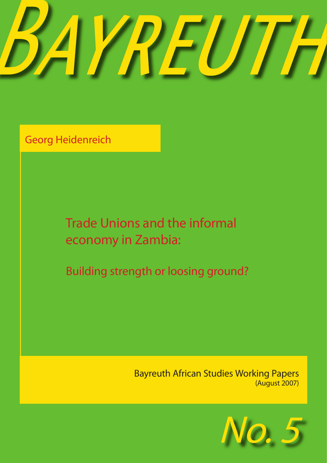# <u>range</u>

Georg Heidenreich

Trade Unions and the informal economy in Zambia:

Building strength or loosing ground?

Bayreuth African Studies Working Papers (August 2007)

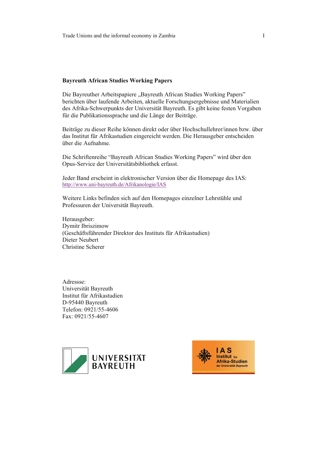#### **Bayreuth African Studies Working Papers**

Die Bayreuther Arbeitspapiere "Bayreuth African Studies Working Papers" berichten über laufende Arbeiten, aktuelle Forschungsergebnisse und Materialien des Afrika-Schwerpunkts der Universität Bayreuth. Es gibt keine festen Vorgaben für die Publikationssprache und die Länge der Beiträge.

Beiträge zu dieser Reihe können direkt oder über Hochschullehrer/innen bzw. über das Institut für Afrikastudien eingereicht werden. Die Herausgeber entscheiden über die Aufnahme.

Die Schriftenreihe "Bayreuth African Studies Working Papers" wird über den Opus-Service der Universitätsbibliothek erfasst.

Jeder Band erscheint in elektronischer Version über die Homepage des IAS: http://www.uni-bayreuth.de/Afrikanologie/IAS

Weitere Links befinden sich auf den Homepages einzelner Lehrstühle und Professuren der Universität Bayreuth.

Herausgeber: Dymitr Ibriszimow (Geschäftsführender Direktor des Instituts für Afrikastudien) Dieter Neubert Christine Scherer

Adressse: Universität Bayreuth Institut für Afrikastudien D-95440 Bayreuth Telefon: 0921/55-4606 Fax: 0921/55-4607



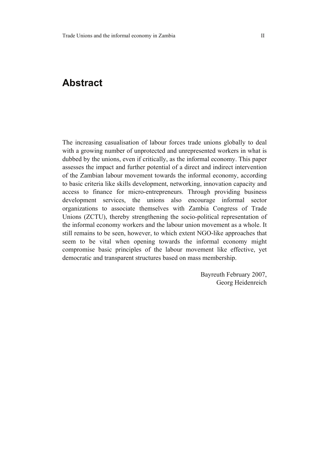## **Abstract**

The increasing casualisation of labour forces trade unions globally to deal with a growing number of unprotected and unrepresented workers in what is dubbed by the unions, even if critically, as the informal economy. This paper assesses the impact and further potential of a direct and indirect intervention of the Zambian labour movement towards the informal economy, according to basic criteria like skills development, networking, innovation capacity and access to finance for micro-entrepreneurs. Through providing business development services, the unions also encourage informal sector organizations to associate themselves with Zambia Congress of Trade Unions (ZCTU), thereby strengthening the socio-political representation of the informal economy workers and the labour union movement as a whole. It still remains to be seen, however, to which extent NGO-like approaches that seem to be vital when opening towards the informal economy might compromise basic principles of the labour movement like effective, yet democratic and transparent structures based on mass membership.

> Bayreuth February 2007, Georg Heidenreich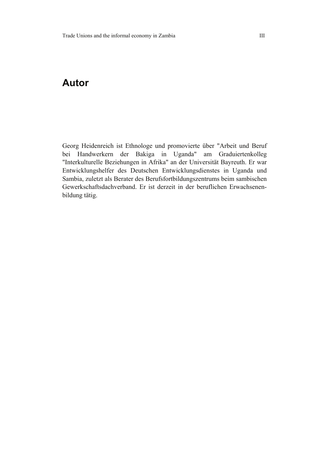# **Autor**

Georg Heidenreich ist Ethnologe und promovierte über "Arbeit und Beruf bei Handwerkern der Bakiga in Uganda" am Graduiertenkolleg "Interkulturelle Beziehungen in Afrika" an der Universität Bayreuth. Er war Entwicklungshelfer des Deutschen Entwicklungsdienstes in Uganda und Sambia, zuletzt als Berater des Berufsfortbildungszentrums beim sambischen Gewerkschaftsdachverband. Er ist derzeit in der beruflichen Erwachsenenbildung tätig.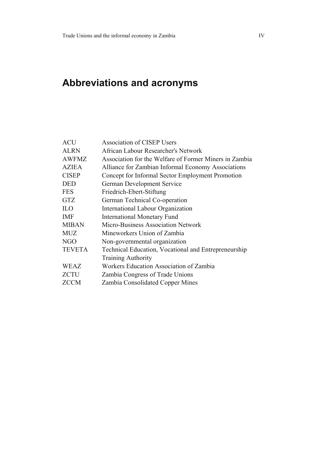# **Abbreviations and acronyms**

| <b>ACU</b>    | <b>Association of CISEP Users</b>                      |
|---------------|--------------------------------------------------------|
| <b>ALRN</b>   | African Labour Researcher's Network                    |
| <b>AWFMZ</b>  | Association for the Welfare of Former Miners in Zambia |
| <b>AZIEA</b>  | Alliance for Zambian Informal Economy Associations     |
| <b>CISEP</b>  | Concept for Informal Sector Employment Promotion       |
| <b>DED</b>    | German Development Service                             |
| <b>FES</b>    | Friedrich-Ebert-Stiftung                               |
| <b>GTZ</b>    | German Technical Co-operation                          |
| <b>ILO</b>    | International Labour Organization                      |
| <b>IMF</b>    | <b>International Monetary Fund</b>                     |
| <b>MIBAN</b>  | Micro-Business Association Network                     |
| <b>MUZ</b>    | Mineworkers Union of Zambia                            |
| NGO           | Non-governmental organization                          |
| <b>TEVETA</b> | Technical Education, Vocational and Entrepreneurship   |
|               | <b>Training Authority</b>                              |
| <b>WEAZ</b>   | Workers Education Association of Zambia                |
| <b>ZCTU</b>   | Zambia Congress of Trade Unions                        |
| <b>ZCCM</b>   | Zambia Consolidated Copper Mines                       |
|               |                                                        |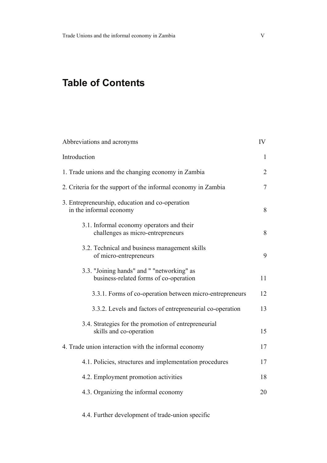# **Table of Contents**

| Abbreviations and acronyms                                                           |    |  |
|--------------------------------------------------------------------------------------|----|--|
| Introduction                                                                         |    |  |
| 1. Trade unions and the changing economy in Zambia                                   |    |  |
| 2. Criteria for the support of the informal economy in Zambia                        |    |  |
| 3. Entrepreneurship, education and co-operation<br>in the informal economy           |    |  |
| 3.1. Informal economy operators and their<br>challenges as micro-entrepreneurs       | 8  |  |
| 3.2. Technical and business management skills<br>of micro-entrepreneurs              | 9  |  |
| 3.3. "Joining hands" and " "networking" as<br>business-related forms of co-operation | 11 |  |
| 3.3.1. Forms of co-operation between micro-entrepreneurs                             | 12 |  |
| 3.3.2. Levels and factors of entrepreneurial co-operation                            | 13 |  |
| 3.4. Strategies for the promotion of entrepreneurial<br>skills and co-operation      | 15 |  |
| 4. Trade union interaction with the informal economy                                 | 17 |  |
| 4.1. Policies, structures and implementation procedures                              | 17 |  |
| 4.2. Employment promotion activities                                                 | 18 |  |
| 4.3. Organizing the informal economy                                                 | 20 |  |

4.4. Further development of trade-union specific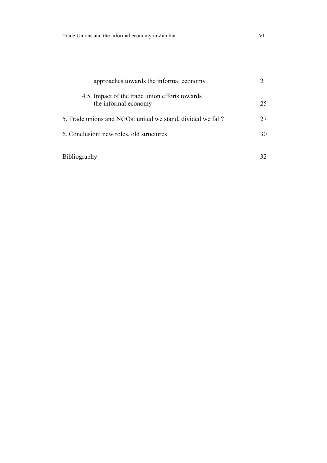| approaches towards the informal economy                                |    |  |
|------------------------------------------------------------------------|----|--|
| 4.5. Impact of the trade union efforts towards<br>the informal economy | 25 |  |
| 5. Trade unions and NGOs: united we stand, divided we fall?            | 27 |  |
| 6. Conclusion: new roles, old structures                               |    |  |
| Bibliography                                                           |    |  |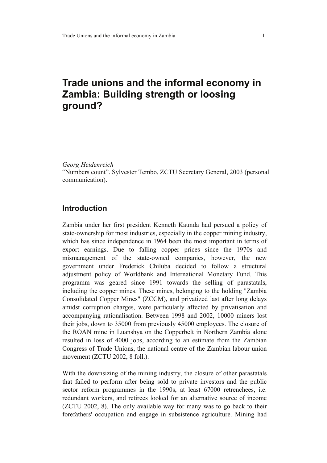# **Trade unions and the informal economy in Zambia: Building strength or loosing ground?**

*Georg Heidenreich*

"Numbers count". Sylvester Tembo, ZCTU Secretary General, 2003 (personal communication).

#### **Introduction**

Zambia under her first president Kenneth Kaunda had persued a policy of state-ownership for most industries, especially in the copper mining industry, which has since independence in 1964 been the most important in terms of export earnings. Due to falling copper prices since the 1970s and mismanagement of the state-owned companies, however, the new government under Frederick Chiluba decided to follow a structural adjustment policy of Worldbank and International Monetary Fund. This programm was geared since 1991 towards the selling of parastatals, including the copper mines. These mines, belonging to the holding "Zambia Consolidated Copper Mines" (ZCCM), and privatized last after long delays amidst corruption charges, were particularly affected by privatisation and accompanying rationalisation. Between 1998 and 2002, 10000 miners lost their jobs, down to 35000 from previously 45000 employees. The closure of the ROAN mine in Luanshya on the Copperbelt in Northern Zambia alone resulted in loss of 4000 jobs, according to an estimate from the Zambian Congress of Trade Unions, the national centre of the Zambian labour union movement (ZCTU 2002, 8 foll.).

With the downsizing of the mining industry, the closure of other parastatals that failed to perform after being sold to private investors and the public sector reform programmes in the 1990s, at least 67000 retrenchees, i.e. redundant workers, and retirees looked for an alternative source of income (ZCTU 2002, 8). The only available way for many was to go back to their forefathers' occupation and engage in subsistence agriculture. Mining had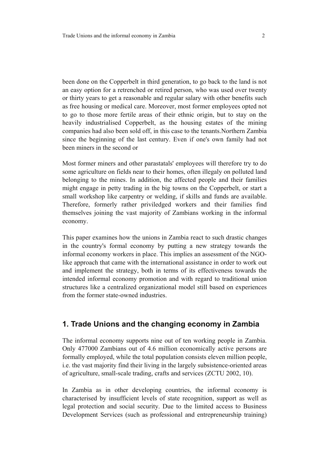been done on the Copperbelt in third generation, to go back to the land is not an easy option for a retrenched or retired person, who was used over twenty or thirty years to get a reasonable and regular salary with other benefits such as free housing or medical care. Moreover, most former employees opted not to go to those more fertile areas of their ethnic origin, but to stay on the heavily industrialised Copperbelt, as the housing estates of the mining companies had also been sold off, in this case to the tenants.Northern Zambia since the beginning of the last century. Even if one's own family had not been miners in the second or

Most former miners and other parastatals' employees will therefore try to do some agriculture on fields near to their homes, often illegaly on polluted land belonging to the mines. In addition, the affected people and their families might engage in petty trading in the big towns on the Copperbelt, or start a small workshop like carpentry or welding, if skills and funds are available. Therefore, formerly rather priviledged workers and their families find themselves joining the vast majority of Zambians working in the informal economy.

This paper examines how the unions in Zambia react to such drastic changes in the country's formal economy by putting a new strategy towards the informal economy workers in place. This implies an assessment of the NGOlike approach that came with the international assistance in order to work out and implement the strategy, both in terms of its effectiveness towards the intended informal economy promotion and with regard to traditional union structures like a centralized organizational model still based on experiences from the former state-owned industries.

### **1. Trade Unions and the changing economy in Zambia**

The informal economy supports nine out of ten working people in Zambia. Only 477000 Zambians out of 4.6 million economically active persons are formally employed, while the total population consists eleven million people, i.e. the vast majority find their living in the largely subsistence-oriented areas of agriculture, small-scale trading, crafts and services (ZCTU 2002, 10).

In Zambia as in other developing countries, the informal economy is characterised by insufficient levels of state recognition, support as well as legal protection and social security. Due to the limited access to Business Development Services (such as professional and entrepreneurship training)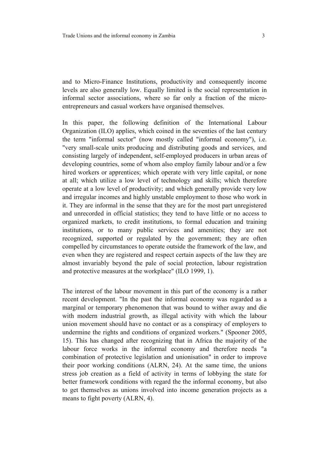and to Micro-Finance Institutions, productivity and consequently income levels are also generally low. Equally limited is the social representation in informal sector associations, where so far only a fraction of the microentrepreneurs and casual workers have organised themselves.

In this paper, the following definition of the International Labour Organization (ILO) applies, which coined in the seventies of the last century the term "informal sector" (now mostly called "informal economy"), i.e. "very small-scale units producing and distributing goods and services, and consisting largely of independent, self-employed producers in urban areas of developing countries, some of whom also employ family labour and/or a few hired workers or apprentices; which operate with very little capital, or none at all; which utilize a low level of technology and skills; which therefore operate at a low level of productivity; and which generally provide very low and irregular incomes and highly unstable employment to those who work in it. They are informal in the sense that they are for the most part unregistered and unrecorded in official statistics; they tend to have little or no access to organized markets, to credit institutions, to formal education and training institutions, or to many public services and amenities; they are not recognized, supported or regulated by the government; they are often compelled by circumstances to operate outside the framework of the law, and even when they are registered and respect certain aspects of the law they are almost invariably beyond the pale of social protection, labour registration and protective measures at the workplace" (ILO 1999, 1).

The interest of the labour movement in this part of the economy is a rather recent development. "In the past the informal economy was regarded as a marginal or temporary phenomenon that was bound to wither away and die with modern industrial growth, as illegal activity with which the labour union movement should have no contact or as a conspiracy of employers to undermine the rights and conditions of organized workers." (Spooner 2005, 15). This has changed after recognizing that in Africa the majority of the labour force works in the informal economy and therefore needs "a combination of protective legislation and unionisation" in order to improve their poor working conditions (ALRN, 24). At the same time, the unions stress job creation as a field of activity in terms of lobbying the state for better framework conditions with regard the the informal economy, but also to get themselves as unions involved into income generation projects as a means to fight poverty (ALRN, 4).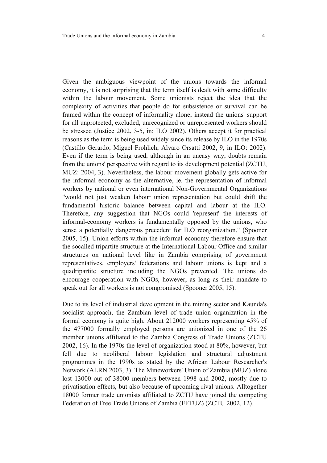Given the ambiguous viewpoint of the unions towards the informal economy, it is not surprising that the term itself is dealt with some difficulty within the labour movement. Some unionists reject the idea that the complexity of activities that people do for subsistence or survival can be framed within the concept of informality alone; instead the unions' support for all unprotected, excluded, unrecognized or unrepresented workers should be stressed (Justice 2002, 3-5, in: ILO 2002). Others accept it for practical reasons as the term is being used widely since its release by ILO in the 1970s (Castillo Gerardo; Miguel Frohlich; Alvaro Orsatti 2002, 9, in ILO: 2002). Even if the term is being used, although in an uneasy way, doubts remain from the unions' perspective with regard to its development potential (ZCTU, MUZ: 2004, 3). Nevertheless, the labour movement globally gets active for the informal economy as the alternative, ie. the representation of informal workers by national or even international Non-Governmental Organizations "would not just weaken labour union representation but could shift the fundamental historic balance between capital and labour at the ILO. Therefore, any suggestion that NGOs could 'represent' the interests of informal-economy workers is fundamentally opposed by the unions, who sense a potentially dangerous precedent for ILO reorganization." (Spooner 2005, 15). Union efforts within the informal economy therefore ensure that the socalled tripartite structure at the International Labour Office and similar structures on national level like in Zambia comprising of government representatives, employers' federations and labour unions is kept and a quadripartite structure including the NGOs prevented. The unions do encourage cooperation with NGOs, however, as long as their mandate to speak out for all workers is not compromised (Spooner 2005, 15).

Due to its level of industrial development in the mining sector and Kaunda's socialist approach, the Zambian level of trade union organization in the formal economy is quite high. About 212000 workers representing 45% of the 477000 formally employed persons are unionized in one of the 26 member unions affiliated to the Zambia Congress of Trade Unions (ZCTU 2002, 16). In the 1970s the level of organization stood at 80%, however, but fell due to neoliberal labour legislation and structural adjustment programmes in the 1990s as stated by the African Labour Researcher's Network (ALRN 2003, 3). The Mineworkers' Union of Zambia (MUZ) alone lost 13000 out of 38000 members between 1998 and 2002, mostly due to privatisation effects, but also because of upcoming rival unions. Alltogether 18000 former trade unionists affiliated to ZCTU have joined the competing Federation of Free Trade Unions of Zambia (FFTUZ) (ZCTU 2002, 12).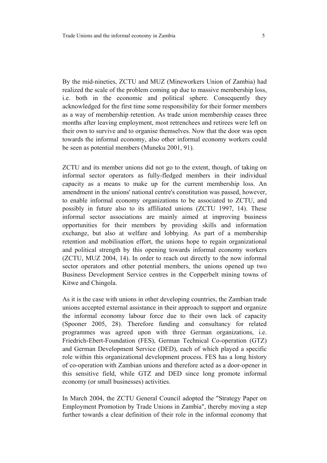By the mid-nineties, ZCTU and MUZ (Mineworkers Union of Zambia) had realized the scale of the problem coming up due to massive membership loss, i.e. both in the economic and political sphere. Consequently they acknowledged for the first time some responsibility for their former members as a way of membership retention. As trade union membership ceases three months after leaving employment, most retrenchees and retirees were left on their own to survive and to organise themselves. Now that the door was open towards the informal economy, also other informal economy workers could be seen as potential members (Muneku 2001, 91).

ZCTU and its member unions did not go to the extent, though, of taking on informal sector operators as fully-fledged members in their individual capacity as a means to make up for the current membership loss. An amendment in the unions' national centre's constitution was passed, however, to enable informal economy organizations to be associated to ZCTU, and possibly in future also to its affiliated unions (ZCTU 1997, 14). These informal sector associations are mainly aimed at improving business opportunities for their members by providing skills and information exchange, but also at welfare and lobbying. As part of a membership retention and mobilisation effort, the unions hope to regain organizational and political strength by this opening towards informal economy workers (ZCTU, MUZ 2004, 14). In order to reach out directly to the now informal sector operators and other potential members, the unions opened up two Business Development Service centres in the Copperbelt mining towns of Kitwe and Chingola.

As it is the case with unions in other developing countries, the Zambian trade unions accepted external assistance in their approach to support and organize the informal economy labour force due to their own lack of capacity (Spooner 2005, 28). Therefore funding and consultancy for related programmes was agreed upon with three German organizations, i.e. Friedrich-Ebert-Foundation (FES), German Technical Co-operation (GTZ) and German Development Service (DED), each of which played a specific role within this organizational development process. FES has a long history of co-operation with Zambian unions and therefore acted as a door-opener in this sensitive field, while GTZ and DED since long promote informal economy (or small businesses) activities.

In March 2004, the ZCTU General Council adopted the "Strategy Paper on Employment Promotion by Trade Unions in Zambia", thereby moving a step further towards a clear definition of their role in the informal economy that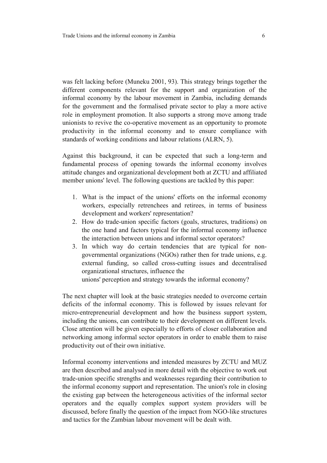was felt lacking before (Muneku 2001, 93). This strategy brings together the different components relevant for the support and organization of the informal economy by the labour movement in Zambia, including demands for the government and the formalised private sector to play a more active role in employment promotion. It also supports a strong move among trade unionists to revive the co-operative movement as an opportunity to promote productivity in the informal economy and to ensure compliance with standards of working conditions and labour relations (ALRN, 5).

Against this background, it can be expected that such a long-term and fundamental process of opening towards the informal economy involves attitude changes and organizational development both at ZCTU and affiliated member unions' level. The following questions are tackled by this paper:

- 1. What is the impact of the unions' efforts on the informal economy workers, especially retrenchees and retirees, in terms of business development and workers' representation?
- 2. How do trade-union specific factors (goals, structures, traditions) on the one hand and factors typical for the informal economy influence the interaction between unions and informal sector operators?
- 3. In which way do certain tendencies that are typical for nongovernmental organizations (NGOs) rather then for trade unions, e.g. external funding, so called cross-cutting issues and decentralised organizational structures, influence the unions' perception and strategy towards the informal economy?

The next chapter will look at the basic strategies needed to overcome certain deficits of the informal economy. This is followed by issues relevant for micro-entrepreneurial development and how the business support system, including the unions, can contribute to their development on different levels. Close attention will be given especially to efforts of closer collaboration and networking among informal sector operators in order to enable them to raise productivity out of their own initiative.

Informal economy interventions and intended measures by ZCTU and MUZ are then described and analysed in more detail with the objective to work out trade-union specific strengths and weaknesses regarding their contribution to the informal economy support and representation. The union's role in closing the existing gap between the heterogeneous activities of the informal sector operators and the equally complex support system providers will be discussed, before finally the question of the impact from NGO-like structures and tactics for the Zambian labour movement will be dealt with.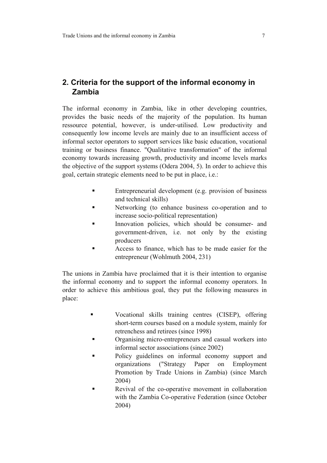## **2. Criteria for the support of the informal economy in Zambia**

The informal economy in Zambia, like in other developing countries, provides the basic needs of the majority of the population. Its human ressource potential, however, is under-utilised. Low productivity and consequently low income levels are mainly due to an insufficient access of informal sector operators to support services like basic education, vocational training or business finance. "Qualitative transformation" of the informal economy towards increasing growth, productivity and income levels marks the objective of the support systems (Odera 2004, 5). In order to achieve this goal, certain strategic elements need to be put in place, i.e.:

- **Entrepreneurial development (e.g. provision of business** and technical skills)
- Networking (to enhance business co-operation and to increase socio-political representation)
- Innovation policies, which should be consumer- and government-driven, i.e. not only by the existing producers
- Access to finance, which has to be made easier for the entrepreneur (Wohlmuth 2004, 231)

The unions in Zambia have proclaimed that it is their intention to organise the informal economy and to support the informal economy operators. In order to achieve this ambitious goal, they put the following measures in place:

- Vocational skills training centres (CISEP), offering short-term courses based on a module system, mainly for retrenchess and retirees (since 1998)
- **•** Organising micro-entrepreneurs and casual workers into informal sector associations (since 2002)
- Policy guidelines on informal economy support and organizations ("Strategy Paper on Employment Promotion by Trade Unions in Zambia) (since March 2004)
- Revival of the co-operative movement in collaboration with the Zambia Co-operative Federation (since October 2004)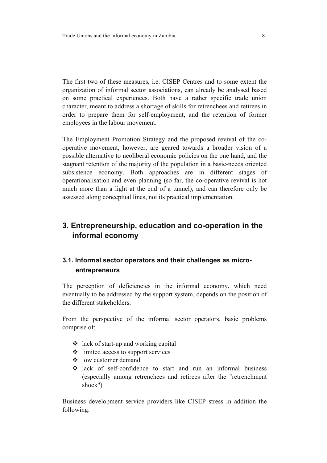The first two of these measures, i.e. CISEP Centres and to some extent the organization of informal sector associations, can already be analysed based on some practical experiences. Both have a rather specific trade union character, meant to address a shortage of skills for retrenchees and retirees in order to prepare them for self-employment, and the retention of former employees in the labour movement.

The Employment Promotion Strategy and the proposed revival of the cooperative movement, however, are geared towards a broader vision of a possible alternative to neoliberal economic policies on the one hand, and the stagnant retention of the majority of the population in a basic-needs oriented subsistence economy. Both approaches are in different stages of operationalisation and even planning (so far, the co-operative revival is not much more than a light at the end of a tunnel), and can therefore only be assessed along conceptual lines, not its practical implementation.

## **3. Entrepreneurship, education and co-operation in the informal economy**

## **3.1. Informal sector operators and their challenges as microentrepreneurs**

The perception of deficiencies in the informal economy, which need eventually to be addressed by the support system, depends on the position of the different stakeholders.

From the perspective of the informal sector operators, basic problems comprise of:

- $\triangleleft$  lack of start-up and working capital
- $\triangle$  limited access to support services
- low customer demand
- lack of self-confidence to start and run an informal business (especially among retrenchees and retirees after the "retrenchment shock")

Business development service providers like CISEP stress in addition the following: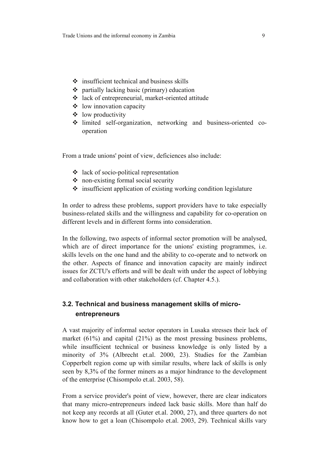- $\div$  insufficient technical and business skills
- $\triangle$  partially lacking basic (primary) education
- lack of entrepreneurial, market-oriented attitude
- low innovation capacity
- $\triangleleft$  low productivity
- limited self-organization, networking and business-oriented cooperation

From a trade unions' point of view, deficiences also include:

- $\triangleleft$  lack of socio-political representation
- non-existing formal social security
- $\cdot$  insufficient application of existing working condition legislature

In order to adress these problems, support providers have to take especially business-related skills and the willingness and capability for co-operation on different levels and in different forms into consideration.

In the following, two aspects of informal sector promotion will be analysed, which are of direct importance for the unions' existing programmes, i.e. skills levels on the one hand and the ability to co-operate and to network on the other. Aspects of finance and innovation capacity are mainly indirect issues for ZCTU's efforts and will be dealt with under the aspect of lobbying and collaboration with other stakeholders (cf. Chapter 4.5.).

## **3.2. Technical and business management skills of microentrepreneurs**

A vast majority of informal sector operators in Lusaka stresses their lack of market (61%) and capital (21%) as the most pressing business problems, while insufficient technical or business knowledge is only listed by a minority of 3% (Albrecht et.al. 2000, 23). Studies for the Zambian Copperbelt region come up with similar results, where lack of skills is only seen by 8,3% of the former miners as a major hindrance to the development of the enterprise (Chisompolo et.al. 2003, 58).

From a service provider's point of view, however, there are clear indicators that many micro-entrepreneurs indeed lack basic skills. More than half do not keep any records at all (Guter et.al. 2000, 27), and three quarters do not know how to get a loan (Chisompolo et.al. 2003, 29). Technical skills vary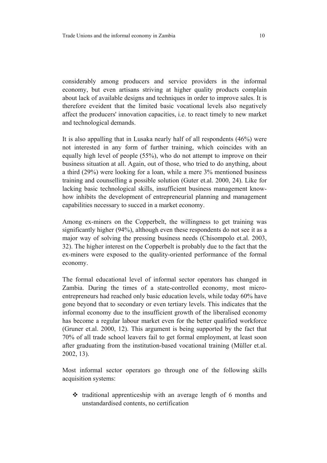considerably among producers and service providers in the informal economy, but even artisans striving at higher quality products complain about lack of available designs and techniques in order to improve sales. It is therefore eveident that the limited basic vocational levels also negatively affect the producers' innovation capacities, i.e. to react timely to new market and technological demands.

It is also appalling that in Lusaka nearly half of all respondents (46%) were not interested in any form of further training, which coincides with an equally high level of people (55%), who do not attempt to improve on their business situation at all. Again, out of those, who tried to do anything, about a third (29%) were looking for a loan, while a mere 3% mentioned business training and counselling a possible solution (Guter et.al. 2000, 24). Like for lacking basic technological skills, insufficient business management knowhow inhibits the development of entrepreneurial planning and management capabilities necessary to succed in a market economy.

Among ex-miners on the Copperbelt, the willingness to get training was significantly higher (94%), although even these respondents do not see it as a major way of solving the pressing business needs (Chisompolo et.al. 2003, 32). The higher interest on the Copperbelt is probably due to the fact that the ex-miners were exposed to the quality-oriented performance of the formal economy.

The formal educational level of informal sector operators has changed in Zambia. During the times of a state-controlled economy, most microentrepreneurs had reached only basic education levels, while today 60% have gone beyond that to secondary or even tertiary levels. This indicates that the informal economy due to the insufficient growth of the liberalised economy has become a regular labour market even for the better qualified workforce (Gruner et.al. 2000, 12). This argument is being supported by the fact that 70% of all trade school leavers fail to get formal employment, at least soon after graduating from the institution-based vocational training (Müller et.al. 2002, 13).

Most informal sector operators go through one of the following skills acquisition systems:

 $\triangleleft$  traditional apprenticeship with an average length of 6 months and unstandardised contents, no certification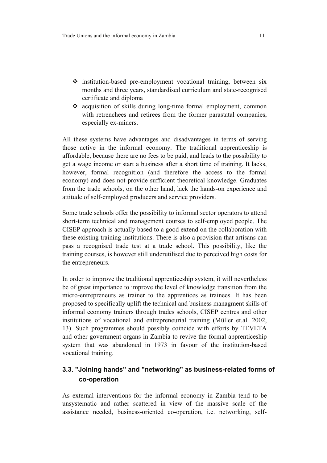- $\triangle$  institution-based pre-employment vocational training, between six months and three years, standardised curriculum and state-recognised certificate and diploma
- acquisition of skills during long-time formal employment, common with retrenchees and retirees from the former parastatal companies, especially ex-miners.

All these systems have advantages and disadvantages in terms of serving those active in the informal economy. The traditional apprenticeship is affordable, because there are no fees to be paid, and leads to the possibility to get a wage income or start a business after a short time of training. It lacks, however, formal recognition (and therefore the access to the formal economy) and does not provide sufficient theoretical knowledge. Graduates from the trade schools, on the other hand, lack the hands-on experience and attitude of self-employed producers and service providers.

Some trade schools offer the possibility to informal sector operators to attend short-term technical and management courses to self-employed people. The CISEP approach is actually based to a good extend on the collaboration with these existing training institutions. There is also a provision that artisans can pass a recognised trade test at a trade school. This possibility, like the training courses, is however still underutilised due to perceived high costs for the entrepreneurs.

In order to improve the traditional apprenticeship system, it will nevertheless be of great importance to improve the level of knowledge transition from the micro-entrepreneurs as trainer to the apprentices as trainees. It has been proposed to specifically uplift the technical and business managment skills of informal economy trainers through trades schools, CISEP centres and other institutions of vocational and entrepreneurial training (Müller et.al. 2002, 13). Such programmes should possibly coincide with efforts by TEVETA and other government organs in Zambia to revive the formal apprenticeship system that was abandoned in 1973 in favour of the institution-based vocational training.

## **3.3. "Joining hands" and "networking" as business-related forms of co-operation**

As external interventions for the informal economy in Zambia tend to be unsystematic and rather scattered in view of the massive scale of the assistance needed, business-oriented co-operation, i.e. networking, self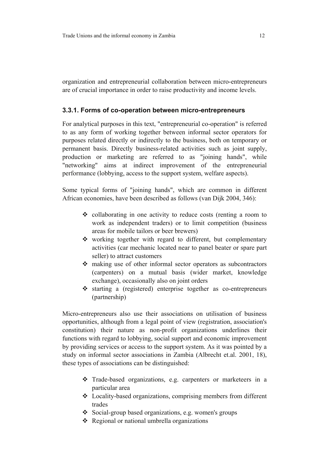organization and entrepreneurial collaboration between micro-entrepreneurs are of crucial importance in order to raise productivity and income levels.

#### **3.3.1. Forms of co-operation between micro-entrepreneurs**

For analytical purposes in this text, "entrepreneurial co-operation" is referred to as any form of working together between informal sector operators for purposes related directly or indirectly to the business, both on temporary or permanent basis. Directly business-related activities such as joint supply, production or marketing are referred to as "joining hands", while "networking" aims at indirect improvement of the entrepreneurial performance (lobbying, access to the support system, welfare aspects).

Some typical forms of "joining hands", which are common in different African economies, have been described as follows (van Dijk 2004, 346):

- collaborating in one activity to reduce costs (renting a room to work as independent traders) or to limit competition (business areas for mobile tailors or beer brewers)
- $\cdot$  working together with regard to different, but complementary activities (car mechanic located near to panel beater or spare part seller) to attract customers
- making use of other informal sector operators as subcontractors (carpenters) on a mutual basis (wider market, knowledge exchange), occasionally also on joint orders
- starting a (registered) enterprise together as co-entrepreneurs (partnership)

Micro-entrepreneurs also use their associations on utilisation of business opportunities, although from a legal point of view (registration, association's constitution) their nature as non-profit organizations underlines their functions with regard to lobbying, social support and economic improvement by providing services or access to the support system. As it was pointed by a study on informal sector associations in Zambia (Albrecht et.al. 2001, 18), these types of associations can be distinguished:

- Trade-based organizations, e.g. carpenters or marketeers in a particular area
- Locality-based organizations, comprising members from different trades
- Social-group based organizations, e.g. women's groups
- $\triangle$  Regional or national umbrella organizations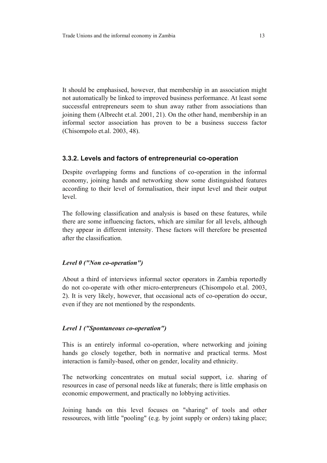It should be emphasised, however, that membership in an association might not automatically be linked to improved business performance. At least some successful entrepreneurs seem to shun away rather from associations than joining them (Albrecht et.al. 2001, 21). On the other hand, membership in an informal sector association has proven to be a business success factor (Chisompolo et.al. 2003, 48).

#### **3.3.2. Levels and factors of entrepreneurial co-operation**

Despite overlapping forms and functions of co-operation in the informal economy, joining hands and networking show some distinguished features according to their level of formalisation, their input level and their output level.

The following classification and analysis is based on these features, while there are some influencing factors, which are similar for all levels, although they appear in different intensity. These factors will therefore be presented after the classification.

#### *Level 0 ("Non co-operation")*

About a third of interviews informal sector operators in Zambia reportedly do not co-operate with other micro-enterpreneurs (Chisompolo et.al. 2003, 2). It is very likely, however, that occasional acts of co-operation do occur, even if they are not mentioned by the respondents.

#### *Level 1 ("Spontaneous co-operation")*

This is an entirely informal co-operation, where networking and joining hands go closely together, both in normative and practical terms. Most interaction is family-based, other on gender, locality and ethnicity.

The networking concentrates on mutual social support, i.e. sharing of resources in case of personal needs like at funerals; there is little emphasis on economic empowerment, and practically no lobbying activities.

Joining hands on this level focuses on "sharing" of tools and other ressources, with little "pooling" (e.g. by joint supply or orders) taking place;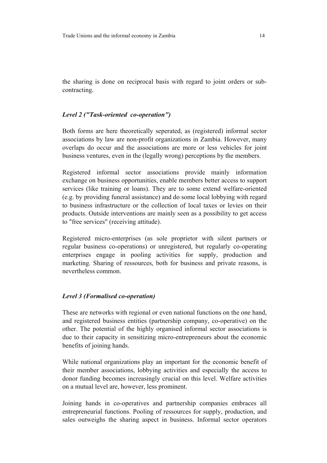the sharing is done on reciprocal basis with regard to joint orders or subcontracting.

#### *Level 2 ("Task-oriented co-operation")*

Both forms are here theoretically seperated, as (registered) informal sector associations by law are non-profit organizations in Zambia. However, many overlaps do occur and the associations are more or less vehicles for joint business ventures, even in the (legally wrong) perceptions by the members.

Registered informal sector associations provide mainly information exchange on business opportunities, enable members better access to support services (like training or loans). They are to some extend welfare-oriented (e.g. by providing funeral assistance) and do some local lobbying with regard to business infrastructure or the collection of local taxes or levies on their products. Outside interventions are mainly seen as a possibility to get access to "free services" (receiving attitude).

Registered micro-enterprises (as sole proprietor with silent partners or regular business co-operations) or unregistered, but regularly co-operating enterprises engage in pooling activities for supply, production and marketing. Sharing of ressources, both for business and private reasons, is nevertheless common.

#### *Level 3 (Formalised co-operation)*

These are networks with regional or even national functions on the one hand, and registered business entities (partnership company, co-operative) on the other. The potential of the highly organised informal sector associations is due to their capacity in sensitizing micro-entrepreneurs about the economic benefits of joining hands.

While national organizations play an important for the economic benefit of their member associations, lobbying activities and especially the access to donor funding becomes increasingly crucial on this level. Welfare activities on a mutual level are, however, less prominent.

Joining hands in co-operatives and partnership companies embraces all entrepreneurial functions. Pooling of ressources for supply, production, and sales outweighs the sharing aspect in business. Informal sector operators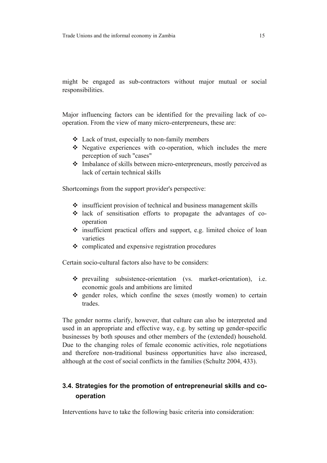might be engaged as sub-contractors without major mutual or social responsibilities.

Major influencing factors can be identified for the prevailing lack of cooperation. From the view of many micro-enterpreneurs, these are:

- Lack of trust, especially to non-family members
- Negative experiences with co-operation, which includes the mere perception of such "cases"
- Imbalance of skills between micro-enterpreneurs, mostly perceived as lack of certain technical skills

Shortcomings from the support provider's perspective:

- $\cdot$  insufficient provision of technical and business management skills
- lack of sensitisation efforts to propagate the advantages of cooperation
- $\cdot$  insufficient practical offers and support, e.g. limited choice of loan varieties
- $\triangle$  complicated and expensive registration procedures

Certain socio-cultural factors also have to be considers:

- prevailing subsistence-orientation (vs. market-orientation), i.e. economic goals and ambitions are limited
- \* gender roles, which confine the sexes (mostly women) to certain trades.

The gender norms clarify, however, that culture can also be interpreted and used in an appropriate and effective way, e.g. by setting up gender-specific businesses by both spouses and other members of the (extended) household. Due to the changing roles of female economic activities, role negotiations and therefore non-traditional business opportunities have also increased, although at the cost of social conflicts in the families (Schultz 2004, 433).

## **3.4. Strategies for the promotion of entrepreneurial skills and cooperation**

Interventions have to take the following basic criteria into consideration: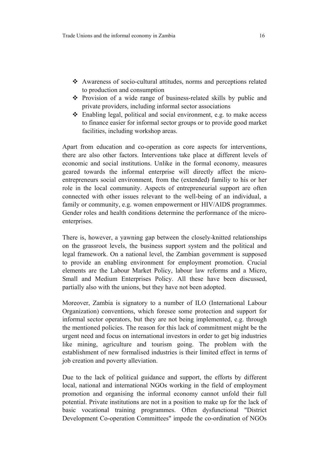- Awareness of socio-cultural attitudes, norms and perceptions related to production and consumption
- Provision of a wide range of business-related skills by public and private providers, including informal sector associations
- $\triangle$  Enabling legal, political and social environment, e.g. to make access to finance easier for informal sector groups or to provide good market facilities, including workshop areas.

Apart from education and co-operation as core aspects for interventions, there are also other factors. Interventions take place at different levels of economic and social institutions. Unlike in the formal economy, measures geared towards the informal enterprise will directly affect the microentrepreneurs social environment, from the (extended) familiy to his or her role in the local community. Aspects of entrepreneurial support are often connected with other issues relevant to the well-being of an individual, a family or community, e.g. women empowerment or HIV/AIDS programmes. Gender roles and health conditions determine the performance of the microenterprises.

There is, however, a yawning gap between the closely-knitted relationships on the grassroot levels, the business support system and the political and legal framework. On a national level, the Zambian government is supposed to provide an enabling environment for employment promotion. Crucial elements are the Labour Market Policy, labour law reforms and a Micro, Small and Medium Enterprises Policy. All these have been discussed, partially also with the unions, but they have not been adopted.

Moreover, Zambia is signatory to a number of ILO (International Labour Organization) conventions, which foresee some protection and support for informal sector operators, but they are not being implemented, e.g. through the mentioned policies. The reason for this lack of commitment might be the urgent need and focus on international investors in order to get big industries like mining, agriculture and tourism going. The problem with the establishment of new formalised industries is their limited effect in terms of job creation and poverty alleviation.

Due to the lack of political guidance and support, the efforts by different local, national and international NGOs working in the field of employment promotion and organising the informal economy cannot unfold their full potential. Private institutions are not in a position to make up for the lack of basic vocational training programmes. Often dysfunctional "District Development Co-operation Committees" impede the co-ordination of NGOs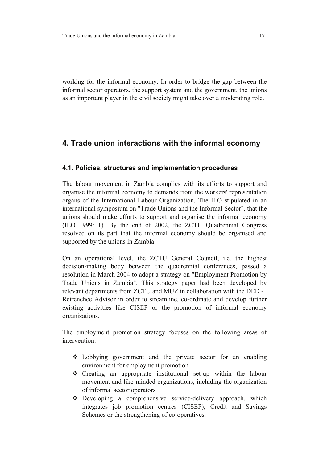working for the informal economy. In order to bridge the gap between the informal sector operators, the support system and the government, the unions as an important player in the civil society might take over a moderating role.

## **4. Trade union interactions with the informal economy**

#### **4.1. Policies, structures and implementation procedures**

The labour movement in Zambia complies with its efforts to support and organise the informal economy to demands from the workers' representation organs of the International Labour Organization. The ILO stipulated in an international symposium on "Trade Unions and the Informal Sector", that the unions should make efforts to support and organise the informal economy (ILO 1999: 1). By the end of 2002, the ZCTU Quadrennial Congress resolved on its part that the informal economy should be organised and supported by the unions in Zambia.

On an operational level, the ZCTU General Council, i.e. the highest decision-making body between the quadrennial conferences, passed a resolution in March 2004 to adopt a strategy on "Employment Promotion by Trade Unions in Zambia". This strategy paper had been developed by relevant departments from ZCTU and MUZ in collaboration with the DED - Retrenchee Advisor in order to streamline, co-ordinate and develop further existing activities like CISEP or the promotion of informal economy organizations.

The employment promotion strategy focuses on the following areas of intervention:

- Lobbying government and the private sector for an enabling environment for employment promotion
- Creating an appropriate institutional set-up within the labour movement and like-minded organizations, including the organization of informal sector operators
- Developing a comprehensive service-delivery approach, which integrates job promotion centres (CISEP), Credit and Savings Schemes or the strengthening of co-operatives.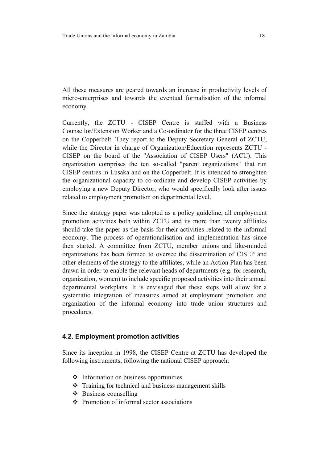All these measures are geared towards an increase in productivity levels of micro-enterprises and towards the eventual formalisation of the informal economy.

Currently, the ZCTU - CISEP Centre is staffed with a Business Counsellor/Extension Worker and a Co-ordinator for the three CISEP centres on the Copperbelt. They report to the Deputy Secretary General of ZCTU, while the Director in charge of Organization/Education represents ZCTU - CISEP on the board of the "Association of CISEP Users" (ACU). This organization comprises the ten so-called "parent organizations" that run CISEP centres in Lusaka and on the Copperbelt. It is intended to strenghten the organizational capacity to co-ordinate and develop CISEP activities by employing a new Deputy Director, who would specifically look after issues related to employment promotion on departmental level.

Since the strategy paper was adopted as a policy guideline, all employment promotion activities both within ZCTU and its more than twenty affiliates should take the paper as the basis for their activities related to the informal economy. The process of operationalisation and implementation has since then started. A committee from ZCTU, member unions and like-minded organizations has been formed to oversee the dissemination of CISEP and other elements of the strategy to the affiliates, while an Action Plan has been drawn in order to enable the relevant heads of departments (e.g. for research, organization, women) to include specific proposed activities into their annual departmental workplans. It is envisaged that these steps will allow for a systematic integration of measures aimed at employment promotion and organization of the informal economy into trade union structures and procedures.

#### **4.2. Employment promotion activities**

Since its inception in 1998, the CISEP Centre at ZCTU has developed the following instruments, following the national CISEP approach:

- $\div$  Information on business opportunities
- $\div$  Training for technical and business management skills
- $\triangle$  Business counselling
- ❖ Promotion of informal sector associations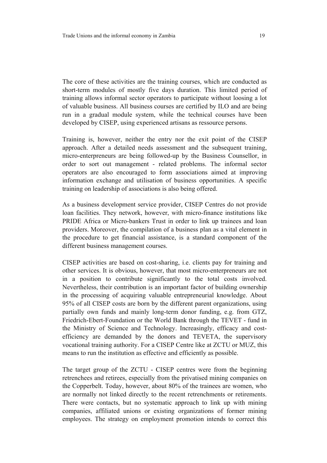The core of these activities are the training courses, which are conducted as short-term modules of mostly five days duration. This limited period of training allows informal sector operators to participate without loosing a lot of valuable business. All business courses are certified by ILO and are being run in a gradual module system, while the technical courses have been developed by CISEP, using experienced artisans as ressource persons.

Training is, however, neither the entry nor the exit point of the CISEP approach. After a detailed needs assessment and the subsequent training, micro-enterpreneurs are being followed-up by the Business Counsellor, in order to sort out management - related problems. The informal sector operators are also encouraged to form associations aimed at improving information exchange and utilisation of business opportunities. A specific training on leadership of associations is also being offered.

As a business development service provider, CISEP Centres do not provide loan facilities. They network, however, with micro-finance institutions like PRIDE Africa or Micro-bankers Trust in order to link up trainees and loan providers. Moreover, the compilation of a business plan as a vital element in the procedure to get financial assistance, is a standard component of the different business management courses.

CISEP activities are based on cost-sharing, i.e. clients pay for training and other services. It is obvious, however, that most micro-enterpreneurs are not in a position to contribute significantly to the total costs involved. Nevertheless, their contribution is an important factor of building ownership in the processing of acquiring valuable entrepreneurial knowledge. About 95% of all CISEP costs are born by the different parent organizations, using partially own funds and mainly long-term donor funding, e.g. from GTZ, Friedrich-Ebert-Foundation or the World Bank through the TEVET - fund in the Ministry of Science and Technology. Increasingly, efficacy and costefficiency are demanded by the donors and TEVETA, the supervisory vocational training authority. For a CISEP Centre like at ZCTU or MUZ, this means to run the institution as effective and efficiently as possible.

The target group of the ZCTU - CISEP centres were from the beginning retrenchees and retirees, especially from the privatised mining companies on the Copperbelt. Today, however, about 80% of the trainees are women, who are normally not linked directly to the recent retrenchments or retirements. There were contacts, but no systematic approach to link up with mining companies, affiliated unions or existing organizations of former mining employees. The strategy on employment promotion intends to correct this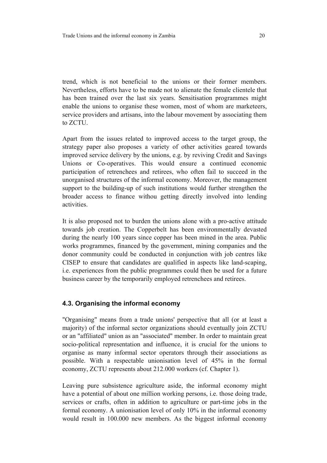trend, which is not beneficial to the unions or their former members. Nevertheless, efforts have to be made not to alienate the female clientele that has been trained over the last six years. Sensitisation programmes might enable the unions to organise these women, most of whom are marketeers, service providers and artisans, into the labour movement by associating them to ZCTU.

Apart from the issues related to improved access to the target group, the strategy paper also proposes a variety of other activities geared towards improved service delivery by the unions, e.g. by reviving Credit and Savings Unions or Co-operatives. This would ensure a continued economic participation of retrenchees and retirees, who often fail to succeed in the unorganised structures of the informal economy. Moreover, the management support to the building-up of such institutions would further strengthen the broader access to finance withou getting directly involved into lending activities.

It is also proposed not to burden the unions alone with a pro-active attitude towards job creation. The Copperbelt has been environmentally devasted during the nearly 100 years since copper has been mined in the area. Public works programmes, financed by the government, mining companies and the donor community could be conducted in conjunction with job centres like CISEP to ensure that candidates are qualified in aspects like land-scaping, i.e. experiences from the public programmes could then be used for a future business career by the temporarily employed retrenchees and retirees.

#### **4.3. Organising the informal economy**

"Organising" means from a trade unions' perspective that all (or at least a majority) of the informal sector organizations should eventually join ZCTU or an "affiliated" union as an "associated" member. In order to maintain great socio-political representation and influence, it is crucial for the unions to organise as many informal sector operators through their associations as possible. With a respectable unionisation level of 45% in the formal economy, ZCTU represents about 212.000 workers (cf. Chapter 1).

Leaving pure subsistence agriculture aside, the informal economy might have a potential of about one million working persons, i.e. those doing trade, services or crafts, often in addition to agriculture or part-time jobs in the formal economy. A unionisation level of only 10% in the informal economy would result in 100.000 new members. As the biggest informal economy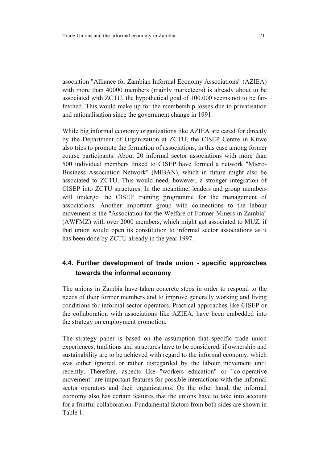asociation "Alliance for Zambian Informal Economy Associations" (AZIEA) with more than 40000 members (mainly marketeers) is already about to be associated with ZCTU, the hypothetical goal of 100.000 seems not to be farfetched. This would make up for the membership losses due to privatisation and rationalisation since the government change in 1991.

While big informal economy organizations like AZIEA are cared for directly by the Department of Organization at ZCTU, the CISEP Centre in Kitwe also tries to promote the formation of associations, in this case among former course participants. About 20 informal sector associations with more than 500 individual members linked to CISEP have formed a network "Micro-Business Association Network" (MIBAN), which in future might also be associated to ZCTU. This would need, however, a stronger integration of CISEP into ZCTU structures. In the meantime, leaders and group members will undergo the CISEP training programme for the management of associations. Another important group with connections to the labour movement is the "Association for the Welfare of Former Miners in Zambia" (AWFMZ) with over 2000 members, which might get associated to MUZ, if that union would open its constitution to informal sector associations as it has been done by ZCTU already in the year 1997.

## **4.4. Further development of trade union - specific approaches towards the informal economy**

The unions in Zambia have taken concrete steps in order to respond to the needs of their former members and to improve generally working and living conditions for informal sector operators. Practical approaches like CISEP or the collaboration with associations like AZIEA, have been embedded into the strategy on employment promotion.

The strategy paper is based on the assumption that specific trade union experiences, traditions and structures have to be considered, if ownership and sustainability are to be achieved with regard to the informal economy, which was either ignored or rather disregarded by the labour movement until recently. Therefore, aspects like "workers education" or "co-operative movement" are important features for possible interactions with the informal sector operators and their organizations. On the other hand, the informal economy also has certain features that the unions have to take into account for a fruitful collaboration. Fundamental factors from both sides are shown in Table 1.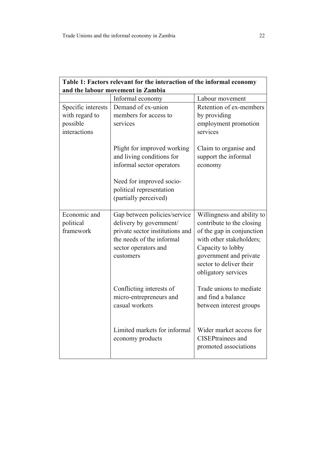| Table 1: Factors relevant for the interaction of the informal economy |                                                                                                                                                                        |                                                                                                                                                                                                                   |  |  |  |
|-----------------------------------------------------------------------|------------------------------------------------------------------------------------------------------------------------------------------------------------------------|-------------------------------------------------------------------------------------------------------------------------------------------------------------------------------------------------------------------|--|--|--|
| and the labour movement in Zambia                                     |                                                                                                                                                                        |                                                                                                                                                                                                                   |  |  |  |
|                                                                       | Informal economy                                                                                                                                                       | Labour movement                                                                                                                                                                                                   |  |  |  |
| Specific interests<br>with regard to<br>possible<br>interactions      | Demand of ex-union<br>members for access to<br>services                                                                                                                | Retention of ex-members<br>by providing<br>employment promotion<br>services                                                                                                                                       |  |  |  |
|                                                                       | Plight for improved working<br>and living conditions for<br>informal sector operators<br>Need for improved socio-<br>political representation<br>(partially perceived) | Claim to organise and<br>support the informal<br>economy                                                                                                                                                          |  |  |  |
| Economic and<br>political<br>framework                                | Gap between policies/service<br>delivery by government/<br>private sector institutions and<br>the needs of the informal<br>sector operators and<br>customers           | Willingness and ability to<br>contribute to the closing<br>of the gap in conjunction<br>with other stakeholders;<br>Capacity to lobby<br>government and private<br>sector to deliver their<br>obligatory services |  |  |  |
|                                                                       | Conflicting interests of<br>micro-entrepreneurs and<br>casual workers                                                                                                  | Trade unions to mediate<br>and find a balance<br>between interest groups                                                                                                                                          |  |  |  |
|                                                                       | Limited markets for informal<br>economy products                                                                                                                       | Wider market access for<br><b>CISEPtrainees</b> and<br>promoted associations                                                                                                                                      |  |  |  |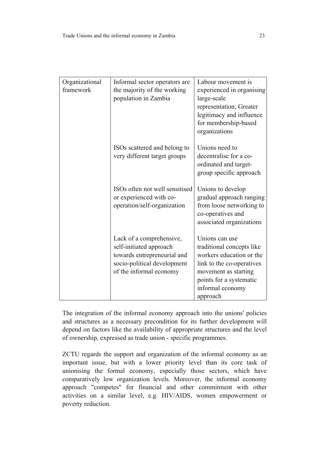| Organizational | Informal sector operators are                          | Labour movement is                                |
|----------------|--------------------------------------------------------|---------------------------------------------------|
| framework      | the majority of the working                            | experienced in organising                         |
|                | population in Zambia                                   | large-scale<br>representation; Greater            |
|                |                                                        | legitimacy and influence                          |
|                |                                                        | for membership-based                              |
|                |                                                        | organizations                                     |
|                | ISOs scattered and belong to                           | Unions need to                                    |
|                | very different target groups                           | decentralise for a co-                            |
|                |                                                        | ordinated and target-                             |
|                |                                                        | group specific approach                           |
|                | ISOs often not well sensitised                         | Unions to develop                                 |
|                | or experienced with co-                                | gradual approach ranging                          |
|                | operation/self-organization                            | from loose networking to                          |
|                |                                                        | co-operatives and<br>associated organizations     |
|                |                                                        |                                                   |
|                | Lack of a comprehensive,                               | Unions can use                                    |
|                | self-initiated approach                                | traditional concepts like                         |
|                | towards entrepreneurial and                            | workers education or the                          |
|                | socio-political development<br>of the informal economy | link to the co-operatives<br>movement as starting |
|                |                                                        | points for a systematic                           |
|                |                                                        | informal economy                                  |
|                |                                                        | approach                                          |

The integration of the informal economy approach into the unions' policies and structures as a necessary precondition for its further development will depend on factors like the availability of appropriate structures and the level of ownership, expressed as trade union - specific programmes.

ZCTU regards the support and organization of the informal economy as an important issue, but with a lower priority level than its core task of unionising the formal economy, especially those sectors, which have comparatively low organization levels. Moreover, the informal economy approach "competes" for financial and other commitment with other activities on a similar level, e.g. HIV/AIDS, women empowerment or poverty reduction.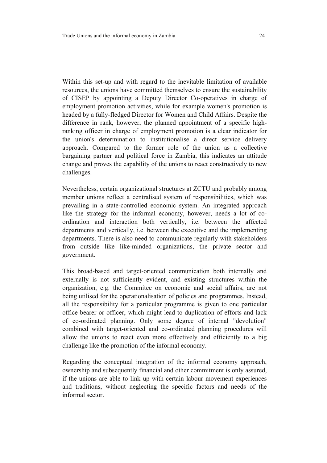Within this set-up and with regard to the inevitable limitation of available resources, the unions have committed themselves to ensure the sustainability of CISEP by appointing a Deputy Director Co-operatives in charge of employment promotion activities, while for example women's promotion is headed by a fully-fledged Director for Women and Child Affairs. Despite the difference in rank, however, the planned appointment of a specific highranking officer in charge of employment promotion is a clear indicator for the union's determination to institutionalise a direct service delivery approach. Compared to the former role of the union as a collective bargaining partner and political force in Zambia, this indicates an attitude change and proves the capability of the unions to react constructively to new challenges.

Nevertheless, certain organizational structures at ZCTU and probably among member unions reflect a centralised system of responsibilities, which was prevailing in a state-controlled economic system. An integrated approach like the strategy for the informal economy, however, needs a lot of coordination and interaction both vertically, i.e. between the affected departments and vertically, i.e. between the executive and the implementing departments. There is also need to communicate regularly with stakeholders from outside like like-minded organizations, the private sector and government.

This broad-based and target-oriented communication both internally and externally is not sufficiently evident, and existing structures within the organization, e.g. the Commitee on economic and social affairs, are not being utilised for the operationalisation of policies and programmes. Instead, all the responsibility for a particular programme is given to one particular office-bearer or officer, which might lead to duplication of efforts and lack of co-ordinated planning. Only some degree of internal "devolution" combined with target-oriented and co-ordinated planning procedures will allow the unions to react even more effectively and efficiently to a big challenge like the promotion of the informal economy.

Regarding the conceptual integration of the informal economy approach, ownership and subsequently financial and other commitment is only assured, if the unions are able to link up with certain labour movement experiences and traditions, without neglecting the specific factors and needs of the informal sector.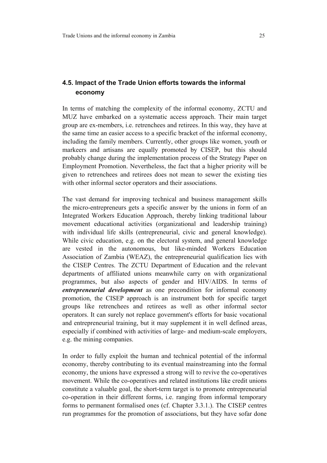## **4.5. Impact of the Trade Union efforts towards the informal economy**

In terms of matching the complexity of the informal economy, ZCTU and MUZ have embarked on a systematic access approach. Their main target group are ex-members, i.e. retrenchees and retirees. In this way, they have at the same time an easier access to a specific bracket of the informal economy, including the family members. Currently, other groups like women, youth or markeers and artisans are equally promoted by CISEP, but this should probably change during the implementation process of the Strategy Paper on Employment Promotion. Nevertheless, the fact that a higher priority will be given to retrenchees and retirees does not mean to sewer the existing ties with other informal sector operators and their associations.

The vast demand for improving technical and business management skills the micro-entrepreneurs gets a specific answer by the unions in form of an Integrated Workers Education Approach, thereby linking traditional labour movement educational activities (organizational and leadership training) with individual life skills (entrepreneurial, civic and general knowledge). While civic education, e.g. on the electoral system, and general knowledge are vested in the autonomous, but like-minded Workers Education Association of Zambia (WEAZ), the entrepreneurial qualification lies with the CISEP Centres. The ZCTU Department of Education and the relevant departments of affiliated unions meanwhile carry on with organizational programmes, but also aspects of gender and HIV/AIDS. In terms of *entrepreneurial development* as one precondition for informal economy promotion, the CISEP approach is an instrument both for specific target groups like retrenchees and retirees as well as other informal sector operators. It can surely not replace government's efforts for basic vocational and entrepreneurial training, but it may supplement it in well defined areas, especially if combined with activities of large- and medium-scale employers, e.g. the mining companies.

In order to fully exploit the human and technical potential of the informal economy, thereby contributing to its eventual mainstreaming into the formal economy, the unions have expressed a strong will to revive the co-operatives movement. While the co-operatives and related institutions like credit unions constitute a valuable goal, the short-term target is to promote entrepreneurial co-operation in their different forms, i.e. ranging from informal temporary forms to permanent formalised ones (cf. Chapter 3.3.1.). The CISEP centres run programmes for the promotion of associations, but they have sofar done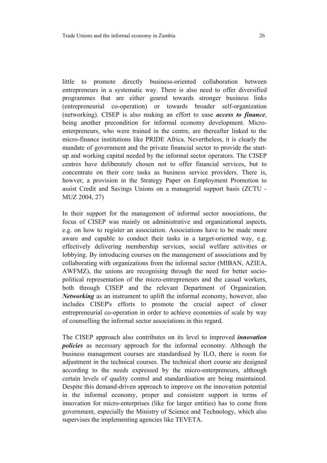little to promote directly business-oriented collaboration between entrepreneurs in a systematic way. There is also need to offer diversified programmes that are either geared towards stronger business links (entrepreneurial co-operation) or towards broader self-organization (networking). CISEP is also making an effort to ease *access to finance*, being another precondition for informal economy development. Microenterpreneurs, who were trained in the centre, are thereafter linked to the micro-finance institutions like PRIDE Africa. Nevertheless, it is clearly the mandate of government and the private financial sector to provide the startup and working capital needed by the informal sector operators. The CISEP centres have deliberately chosen not to offer financial services, but to concentrate on their core tasks as business service providers. There is, howver, a provision in the Strategy Paper on Employment Promotion to assist Credit and Savings Unions on a managerial support basis (ZCTU - MUZ 2004, 27)

In their support for the management of informal sector associations, the focus of CISEP was mainly on administrative and organizational aspects, e.g. on how to register an association. Associations have to be made more aware and capable to conduct their tasks in a target-oriented way, e.g. effectively delivering membership services, social welfare activities or lobbying. By introducing courses on the management of associations and by collaborating with organizations from the informal sector (MIBAN, AZIEA, AWFMZ), the unions are recognising through the need for better sociopolitical representation of the micro-entrepreneurs and the casual workers, both through CISEP and the relevant Department of Organization. *Networking* as an instrument to uplift the informal economy, however, also includes CISEP's efforts to promote the crucial aspect of closer entrepreneurial co-operation in order to achieve economies of scale by way of counselling the informal sector associations in this regard.

The CISEP approach also contributes on its level to improved *innovation policies* as necessary approach for the informal economy. Although the business management courses are standardised by ILO, there is room for adjustment in the technical courses. The technical short course are designed according to the needs expressed by the micro-enterpreneurs, although certain levels of quality control and standardisation are being maintained. Despite this demand-driven approach to improve on the innovation potential in the informal economy, proper and consistent support in terms of innovation for micro-enterprises (like for larger entities) has to come from government, especially the Ministry of Science and Technology, which also supervises the implementing agencies like TEVETA.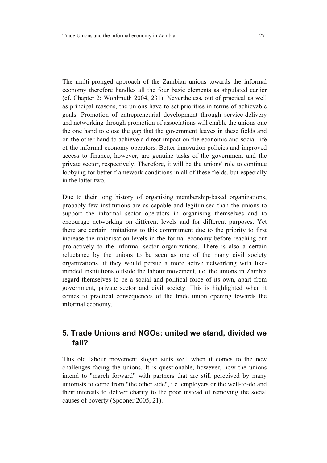The multi-pronged approach of the Zambian unions towards the informal economy therefore handles all the four basic elements as stipulated earlier (cf. Chapter 2; Wohlmuth 2004, 231). Nevertheless, out of practical as well as principal reasons, the unions have to set priorities in terms of achievable goals. Promotion of entrepreneurial development through service-delivery and networking through promotion of associations will enable the unions one the one hand to close the gap that the government leaves in these fields and on the other hand to achieve a direct impact on the economic and social life of the informal economy operators. Better innovation policies and improved access to finance, however, are genuine tasks of the government and the private sector, respectively. Therefore, it will be the unions' role to continue lobbying for better framework conditions in all of these fields, but especially in the latter two.

Due to their long history of organising membership-based organizations, probably few institutions are as capable and legitimised than the unions to support the informal sector operators in organising themselves and to encourage networking on different levels and for different purposes. Yet there are certain limitations to this commitment due to the priority to first increase the unionisation levels in the formal economy before reaching out pro-actively to the informal sector organizations. There is also a certain reluctance by the unions to be seen as one of the many civil society organizations, if they would persue a more active networking with likeminded institutions outside the labour movement, i.e. the unions in Zambia regard themselves to be a social and political force of its own, apart from government, private sector and civil society. This is highlighted when it comes to practical consequences of the trade union opening towards the informal economy.

## **5. Trade Unions and NGOs: united we stand, divided we fall?**

This old labour movement slogan suits well when it comes to the new challenges facing the unions. It is questionable, however, how the unions intend to "march forward" with partners that are still perceived by many unionists to come from "the other side", i.e. employers or the well-to-do and their interests to deliver charity to the poor instead of removing the social causes of poverty (Spooner 2005, 21).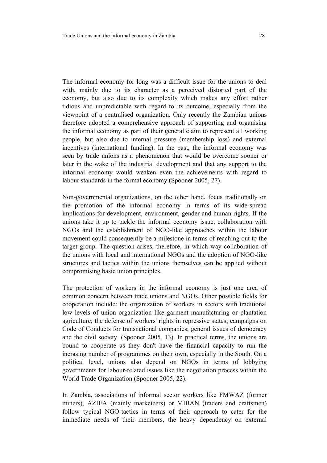The informal economy for long was a difficult issue for the unions to deal with, mainly due to its character as a perceived distorted part of the economy, but also due to its complexity which makes any effort rather tidious and unpredictable with regard to its outcome, especially from the viewpoint of a centralised organization. Only recently the Zambian unions therefore adopted a comprehensive approach of supporting and organising the informal economy as part of their general claim to represent all working people, but also due to internal pressure (membership loss) and external incentives (international funding). In the past, the informal economy was seen by trade unions as a phenomenon that would be overcome sooner or later in the wake of the industrial development and that any support to the informal economy would weaken even the achievements with regard to labour standards in the formal economy (Spooner 2005, 27).

Non-governmental organizations, on the other hand, focus traditionally on the promotion of the informal economy in terms of its wide-spread implications for development, environment, gender and human rights. If the unions take it up to tackle the informal economy issue, collaboration with NGOs and the establishment of NGO-like approaches within the labour movement could consequently be a milestone in terms of reaching out to the target group. The question arises, therefore, in which way collaboration of the unions with local and international NGOs and the adoption of NGO-like structures and tactics within the unions themselves can be applied without compromising basic union principles.

The protection of workers in the informal economy is just one area of common concern between trade unions and NGOs. Other possible fields for cooperation include: the organization of workers in sectors with traditional low levels of union organization like garment manufacturing or plantation agriculture; the defense of workers' rights in repressive states; campaigns on Code of Conducts for transnational companies; general issues of democracy and the civil society. (Spooner 2005, 13). In practical terms, the unions are bound to cooperate as they don't have the financial capacity to run the incrasing number of programmes on their own, especially in the South. On a political level, unions also depend on NGOs in terms of lobbying governments for labour-related issues like the negotiation process within the World Trade Organization (Spooner 2005, 22).

In Zambia, associations of informal sector workers like FMWAZ (former miners), AZIEA (mainly marketeers) or MIBAN (traders and craftsmen) follow typical NGO-tactics in terms of their approach to cater for the immediate needs of their members, the heavy dependency on external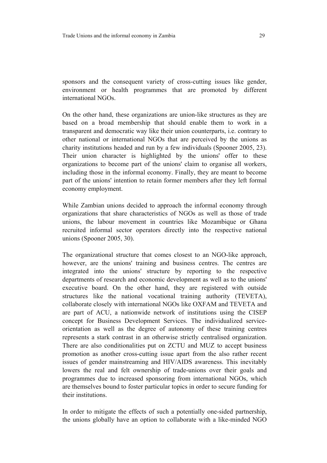sponsors and the consequent variety of cross-cutting issues like gender, environment or health programmes that are promoted by different international NGOs.

On the other hand, these organizations are union-like structures as they are based on a broad membership that should enable them to work in a transparent and democratic way like their union counterparts, i.e. contrary to other national or international NGOs that are perceived by the unions as charity institutions headed and run by a few individuals (Spooner 2005, 23). Their union character is highlighted by the unions' offer to these organizations to become part of the unions' claim to organise all workers, including those in the informal economy. Finally, they are meant to become part of the unions' intention to retain former members after they left formal economy employment.

While Zambian unions decided to approach the informal economy through organizations that share characteristics of NGOs as well as those of trade unions, the labour movement in countries like Mozambique or Ghana recruited informal sector operators directly into the respective national unions (Spooner 2005, 30).

The organizational structure that comes closest to an NGO-like approach, however, are the unions' training and business centres. The centres are integrated into the unions' structure by reporting to the respective departments of research and economic development as well as to the unions' executive board. On the other hand, they are registered with outside structures like the national vocational training authority (TEVETA), collaborate closely with international NGOs like OXFAM and TEVETA and are part of ACU, a nationwide network of institutions using the CISEP concept for Business Development Services. The individualized serviceorientation as well as the degree of autonomy of these training centres represents a stark contrast in an otherwise strictly centralised organization. There are also conditionalities put on ZCTU and MUZ to accept business promotion as another cross-cutting issue apart from the also rather recent issues of gender mainstreaming and HIV/AIDS awareness. This inevitably lowers the real and felt ownership of trade-unions over their goals and programmes due to increased sponsoring from international NGOs, which are themselves bound to foster particular topics in order to secure funding for their institutions.

In order to mitigate the effects of such a potentially one-sided partnership, the unions globally have an option to collaborate with a like-minded NGO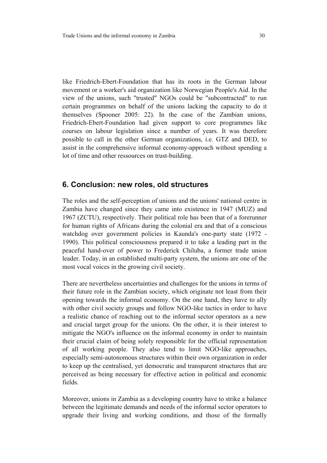like Friedrich-Ebert-Foundation that has its roots in the German labour movement or a worker's aid organization like Norwegian People's Aid. In the view of the unions, such "trusted" NGOs could be "subcontracted" to run certain programmes on behalf of the unions lacking the capacity to do it themselves (Spooner 2005: 22). In the case of the Zambian unions, Friedrich-Ebert-Foundation had given support to core programmes like courses on labour legislation since a number of years. It was therefore possible to call in the other German organizations, i.e. GTZ and DED, to assist in the comprehensive informal economy-approach without spending a lot of time and other ressources on trust-building.

#### **6. Conclusion: new roles, old structures**

The roles and the self-perception of unions and the unions' national centre in Zambia have changed since they came into existence in 1947 (MUZ) and 1967 (ZCTU), respectively. Their political role has been that of a forerunner for human rights of Africans during the colonial era and that of a conscious watchdog over government policies in Kaunda's one-party state (1972 - 1990). This political consciousness prepared it to take a leading part in the peaceful hand-over of power to Frederick Chiluba, a former trade union leader. Today, in an established multi-party system, the unions are one of the most vocal voices in the growing civil society.

There are nevertheless uncertainties and challenges for the unions in terms of their future role in the Zambian society, which originate not least from their opening towards the informal economy. On the one hand, they have to ally with other civil society groups and follow NGO-like tactics in order to have a realistic chance of reaching out to the informal sector operators as a new and crucial target group for the unions. On the other, it is their interest to mitigate the NGO's influence on the informal economy in order to maintain their crucial claim of being solely responsible for the official representation of all working people. They also tend to limit NGO-like approaches, especially semi-autonomous structures within their own organization in order to keep up the centralised, yet democratic and transparent structures that are perceived as being necessary for effective action in political and economic fields.

Moreover, unions in Zambia as a developing country have to strike a balance between the legitimate demands and needs of the informal sector operators to upgrade their living and working conditions, and those of the formally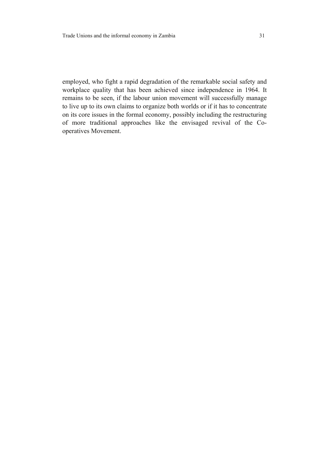employed, who fight a rapid degradation of the remarkable social safety and workplace quality that has been achieved since independence in 1964. It remains to be seen, if the labour union movement will successfully manage to live up to its own claims to organize both worlds or if it has to concentrate on its core issues in the formal economy, possibly including the restructuring of more traditional approaches like the envisaged revival of the Cooperatives Movement.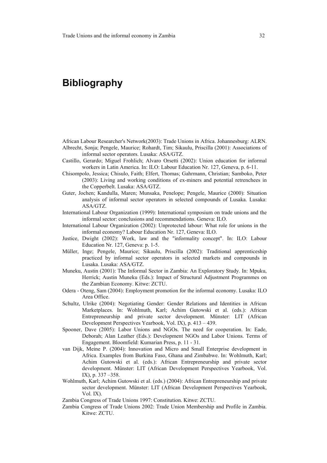# **Bibliography**

African Labour Researcher's Network(2003): Trade Unions in Africa. Johannesburg: ALRN. Albrecht, Sonja; Pengele, Maurice; Rohardt, Tim; Sikaulu, Priscilla (2001): Associations of informal sector operators. Lusaka: ASA/GTZ.

- Castillo, Gerardo; Miguel Frohlich; Alvaro Orsetti (2002): Union education for informal workers in Latin America. In: ILO: Labour Education Nr. 127, Geneva, p. 6-11.
- Chisompolo, Jessica; Chisulo, Faith; Elfert, Thomas; Gahrmann, Christian; Samboko, Peter (2003): Living and working conditions of ex-miners and potential retrenchees in the Copperbelt. Lusaka: ASA/GTZ.
- Guter, Jochen; Kandulla, Maren; Munsaka, Penelope; Pengele, Maurice (2000): Situation analysis of informal sector operators in selected compounds of Lusaka. Lusaka: ASA/GTZ.
- International Labour Organization (1999): International symposium on trade unions and the informal sector: conclusions and recommendations. Geneva: ILO.
- International Labour Organization (2002): Unprotected labour: What role for unions in the informal economy? Labour Education Nr. 127, Geneva: ILO.
- Justice, Dwight (2002): Work, law and the "informality concept". In: ILO: Labour Education Nr. 127, Geneva: p. 1-5.
- Müller, Inge; Pengele, Maurice; Sikaulu, Priscilla (2002): Traditional apprenticeship practiced by informal sector operators in selected markets and compounds in Lusaka. Lusaka: ASA/GTZ.
- Muneku, Austin (2001): The Informal Sector in Zambia: An Exploratory Study. In: Mpuku, Herrick; Austin Muneku (Eds.): Impact of Structural Adjustment Programmes on the Zambian Economy. Kitwe: ZCTU.
- Odera Oteng, Sam (2004): Employment promotion for the informal economy. Lusaka: ILO Area Office.
- Schultz, Ulrike (2004): Negotiating Gender: Gender Relations and Identities in African Marketplaces. In: Wohlmuth, Karl; Achim Gutowski et al. (eds.): African Entrepreneurship and private sector development. Münster: LIT (African Development Perspectives Yearbook, Vol. IX), p. 413 – 439.
- Spooner, Dave (2005): Labor Unions and NGOs. The need for cooperation. In: Eade, Deborah; Alan Leather (Eds.): Development NGOs and Labor Unions. Terms of Engagement. Bloomfield: Kumarian Press, p. 11 - 31.
- van Dijk, Meine P. (2004): Innovation and Micro and Small Enterprise development in Africa. Examples from Burkina Faso, Ghana and Zimbabwe. In: Wohlmuth, Karl; Achim Gutowski et al. (eds.): African Entrepreneurship and private sector development. Münster: LIT (African Development Perspectives Yearbook, Vol. IX), p. 337 –358.
- Wohlmuth, Karl; Achim Gutowski et al. (eds.) (2004): African Entrepreneurship and private sector development. Münster: LIT (African Development Perspectives Yearbook, Vol. IX).
- Zambia Congress of Trade Unions 1997: Constitution. Kitwe: ZCTU.
- Zambia Congress of Trade Unions 2002: Trade Union Membership and Profile in Zambia. Kitwe: ZCTU.